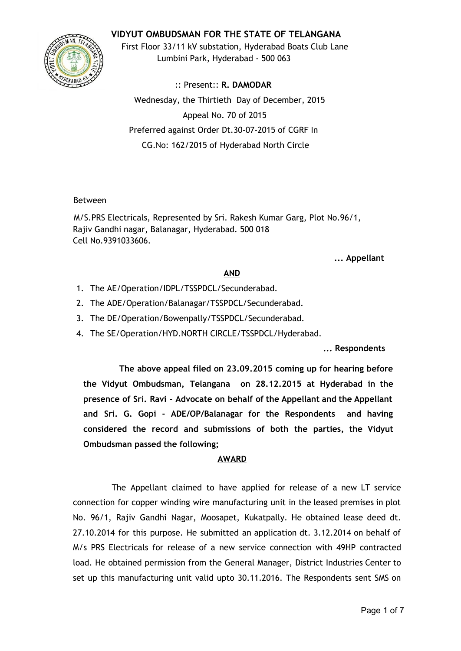# **VIDYUT OMBUDSMAN FOR THE STATE OF TELANGANA**



First Floor 33/11 kV substation, Hyderabad Boats Club Lane Lumbini Park, Hyderabad - 500 063

:: Present:: **R. DAMODAR** Wednesday, the Thirtieth Day of December, 2015 Appeal No. 70 of 2015 Preferred against Order Dt.30-07-2015 of CGRF In CG.No: 162/2015 of Hyderabad North Circle

#### Between

M/S.PRS Electricals, Represented by Sri. Rakesh Kumar Garg, Plot No.96/1, Rajiv Gandhi nagar, Balanagar, Hyderabad. 500 018 Cell No.9391033606.

### **... Appellant**

### **AND**

- 1. The AE/Operation/IDPL/TSSPDCL/Secunderabad.
- 2. The ADE/Operation/Balanagar/TSSPDCL/Secunderabad.
- 3. The DE/Operation/Bowenpally/TSSPDCL/Secunderabad.
- 4. The SE/Operation/HYD.NORTH CIRCLE/TSSPDCL/Hyderabad.

### **... Respondents**

**The above appeal filed on 23.09.2015 coming up for hearing before the Vidyut Ombudsman, Telangana on 28.12.2015 at Hyderabad in the presence of Sri. Ravi - Advocate on behalf of the Appellant and the Appellant and Sri. G. Gopi - ADE/OP/Balanagar for the Respondents and having considered the record and submissions of both the parties, the Vidyut Ombudsman passed the following;**

### **AWARD**

The Appellant claimed to have applied for release of a new LT service connection for copper winding wire manufacturing unit in the leased premises in plot No. 96/1, Rajiv Gandhi Nagar, Moosapet, Kukatpally. He obtained lease deed dt. 27.10.2014 for this purpose. He submitted an application dt. 3.12.2014 on behalf of M/s PRS Electricals for release of a new service connection with 49HP contracted load. He obtained permission from the General Manager, District Industries Center to set up this manufacturing unit valid upto 30.11.2016. The Respondents sent SMS on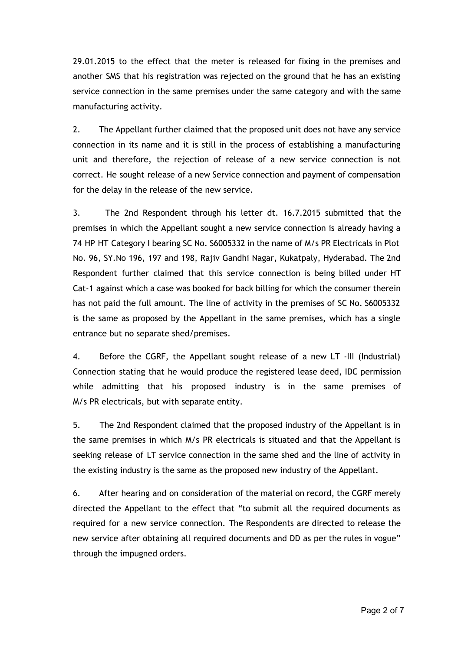29.01.2015 to the effect that the meter is released for fixing in the premises and another SMS that his registration was rejected on the ground that he has an existing service connection in the same premises under the same category and with the same manufacturing activity.

2. The Appellant further claimed that the proposed unit does not have any service connection in its name and it is still in the process of establishing a manufacturing unit and therefore, the rejection of release of a new service connection is not correct. He sought release of a new Service connection and payment of compensation for the delay in the release of the new service.

3. The 2nd Respondent through his letter dt. 16.7.2015 submitted that the premises in which the Appellant sought a new service connection is already having a 74 HP HT Category I bearing SC No. S6005332 in the name of M/s PR Electricals in Plot No. 96, SY.No 196, 197 and 198, Rajiv Gandhi Nagar, Kukatpaly, Hyderabad. The 2nd Respondent further claimed that this service connection is being billed under HT Cat-1 against which a case was booked for back billing for which the consumer therein has not paid the full amount. The line of activity in the premises of SC No. S6005332 is the same as proposed by the Appellant in the same premises, which has a single entrance but no separate shed/premises.

4. Before the CGRF, the Appellant sought release of a new LT -III (Industrial) Connection stating that he would produce the registered lease deed, IDC permission while admitting that his proposed industry is in the same premises of M/s PR electricals, but with separate entity.

5. The 2nd Respondent claimed that the proposed industry of the Appellant is in the same premises in which M/s PR electricals is situated and that the Appellant is seeking release of LT service connection in the same shed and the line of activity in the existing industry is the same as the proposed new industry of the Appellant.

6. After hearing and on consideration of the material on record, the CGRF merely directed the Appellant to the effect that "to submit all the required documents as required for a new service connection. The Respondents are directed to release the new service after obtaining all required documents and DD as per the rules in vogue" through the impugned orders.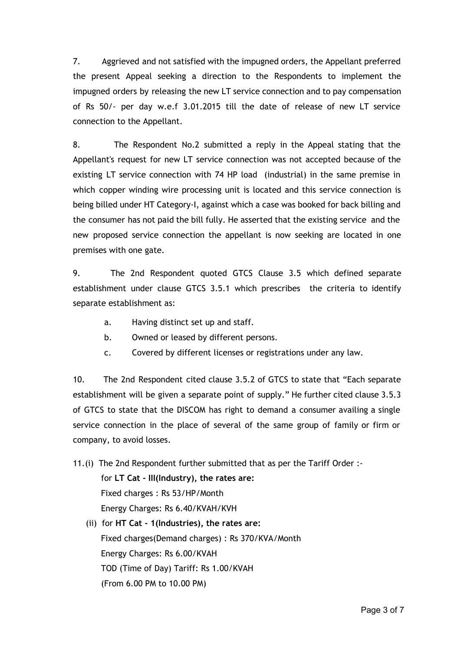7. Aggrieved and not satisfied with the impugned orders, the Appellant preferred the present Appeal seeking a direction to the Respondents to implement the impugned orders by releasing the new LT service connection and to pay compensation of Rs 50/- per day w.e.f 3.01.2015 till the date of release of new LT service connection to the Appellant.

8. The Respondent No.2 submitted a reply in the Appeal stating that the Appellant's request for new LT service connection was not accepted because of the existing LT service connection with 74 HP load (industrial) in the same premise in which copper winding wire processing unit is located and this service connection is being billed under HT Category-I, against which a case was booked for back billing and the consumer has not paid the bill fully. He asserted that the existing service and the new proposed service connection the appellant is now seeking are located in one premises with one gate.

9. The 2nd Respondent quoted GTCS Clause 3.5 which defined separate establishment under clause GTCS 3.5.1 which prescribes the criteria to identify separate establishment as:

- a. Having distinct set up and staff.
- b. Owned or leased by different persons.
- c. Covered by different licenses or registrations under any law.

10. The 2nd Respondent cited clause 3.5.2 of GTCS to state that "Each separate establishment will be given a separate point of supply." He further cited clause 3.5.3 of GTCS to state that the DISCOM has right to demand a consumer availing a single service connection in the place of several of the same group of family or firm or company, to avoid losses.

- 11.(i) The 2nd Respondent further submitted that as per the Tariff Order : for **LT Cat - III(Industry), the rates are:** Fixed charges : Rs 53/HP/Month Energy Charges: Rs 6.40/KVAH/KVH
	- (ii) for **HT Cat - 1(Industries), the rates are:** Fixed charges(Demand charges) : Rs 370/KVA/Month Energy Charges: Rs 6.00/KVAH TOD (Time of Day) Tariff: Rs 1.00/KVAH (From 6.00 PM to 10.00 PM)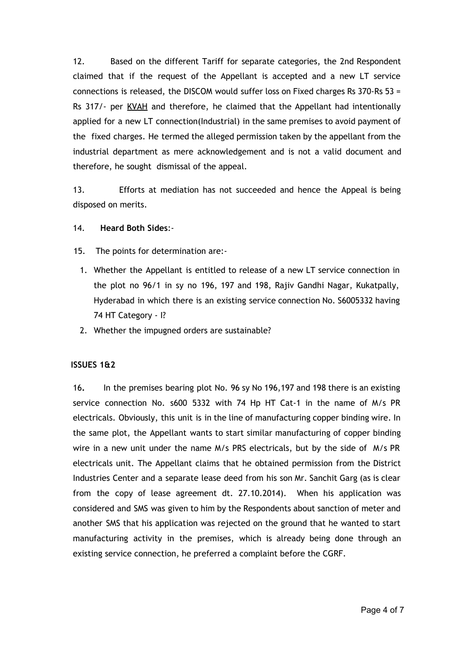12. Based on the different Tariff for separate categories, the 2nd Respondent claimed that if the request of the Appellant is accepted and a new LT service connections is released, the DISCOM would suffer loss on Fixed charges Rs 370-Rs 53 = Rs 317/- per KVAH and therefore, he claimed that the Appellant had intentionally applied for a new LT connection(Industrial) in the same premises to avoid payment of the fixed charges. He termed the alleged permission taken by the appellant from the industrial department as mere acknowledgement and is not a valid document and therefore, he sought dismissal of the appeal.

13. Efforts at mediation has not succeeded and hence the Appeal is being disposed on merits.

- 14. **Heard Both Sides**:-
- 15. The points for determination are:-
	- 1. Whether the Appellant is entitled to release of a new LT service connection in the plot no 96/1 in sy no 196, 197 and 198, Rajiv Gandhi Nagar, Kukatpally, Hyderabad in which there is an existing service connection No. S6005332 having 74 HT Category - I?
	- 2. Whether the impugned orders are sustainable?

#### **ISSUES 1&2**

16**.** In the premises bearing plot No. 96 sy No 196,197 and 198 there is an existing service connection No. s600 5332 with 74 Hp HT Cat-1 in the name of M/s PR electricals. Obviously, this unit is in the line of manufacturing copper binding wire. In the same plot, the Appellant wants to start similar manufacturing of copper binding wire in a new unit under the name M/s PRS electricals, but by the side of M/s PR electricals unit. The Appellant claims that he obtained permission from the District Industries Center and a separate lease deed from his son Mr. Sanchit Garg (as is clear from the copy of lease agreement dt. 27.10.2014). When his application was considered and SMS was given to him by the Respondents about sanction of meter and another SMS that his application was rejected on the ground that he wanted to start manufacturing activity in the premises, which is already being done through an existing service connection, he preferred a complaint before the CGRF.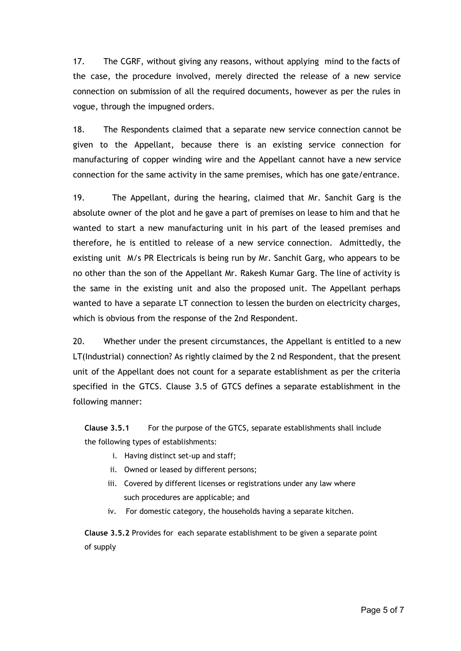17. The CGRF, without giving any reasons, without applying mind to the facts of the case, the procedure involved, merely directed the release of a new service connection on submission of all the required documents, however as per the rules in vogue, through the impugned orders.

18. The Respondents claimed that a separate new service connection cannot be given to the Appellant, because there is an existing service connection for manufacturing of copper winding wire and the Appellant cannot have a new service connection for the same activity in the same premises, which has one gate/entrance.

19. The Appellant, during the hearing, claimed that Mr. Sanchit Garg is the absolute owner of the plot and he gave a part of premises on lease to him and that he wanted to start a new manufacturing unit in his part of the leased premises and therefore, he is entitled to release of a new service connection. Admittedly, the existing unit M/s PR Electricals is being run by Mr. Sanchit Garg, who appears to be no other than the son of the Appellant Mr. Rakesh Kumar Garg. The line of activity is the same in the existing unit and also the proposed unit. The Appellant perhaps wanted to have a separate LT connection to lessen the burden on electricity charges, which is obvious from the response of the 2nd Respondent.

20. Whether under the present circumstances, the Appellant is entitled to a new LT(Industrial) connection? As rightly claimed by the 2 nd Respondent, that the present unit of the Appellant does not count for a separate establishment as per the criteria specified in the GTCS. Clause 3.5 of GTCS defines a separate establishment in the following manner:

**Clause 3.5.1** For the purpose of the GTCS, separate establishments shall include the following types of establishments:

- i. Having distinct set-up and staff;
- ii. Owned or leased by different persons;
- iii. Covered by different licenses or registrations under any law where such procedures are applicable; and
- iv. For domestic category, the households having a separate kitchen.

**Clause 3.5.2** Provides for each separate establishment to be given a separate point of supply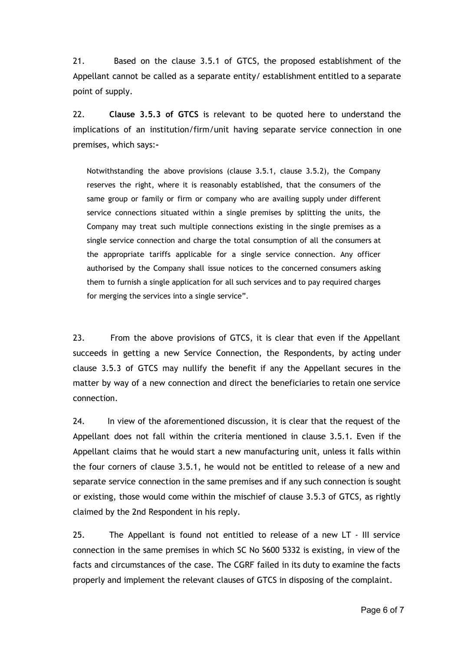21. Based on the clause 3.5.1 of GTCS, the proposed establishment of the Appellant cannot be called as a separate entity/ establishment entitled to a separate point of supply.

22. **Clause 3.5.3 of GTCS** is relevant to be quoted here to understand the implications of an institution/firm/unit having separate service connection in one premises, which says:**-**

Notwithstanding the above provisions (clause 3.5.1, clause 3.5.2), the Company reserves the right, where it is reasonably established, that the consumers of the same group or family or firm or company who are availing supply under different service connections situated within a single premises by splitting the units, the Company may treat such multiple connections existing in the single premises as a single service connection and charge the total consumption of all the consumers at the appropriate tariffs applicable for a single service connection. Any officer authorised by the Company shall issue notices to the concerned consumers asking them to furnish a single application for all such services and to pay required charges for merging the services into a single service".

23. From the above provisions of GTCS, it is clear that even if the Appellant succeeds in getting a new Service Connection, the Respondents, by acting under clause 3.5.3 of GTCS may nullify the benefit if any the Appellant secures in the matter by way of a new connection and direct the beneficiaries to retain one service connection.

24. In view of the aforementioned discussion, it is clear that the request of the Appellant does not fall within the criteria mentioned in clause 3.5.1. Even if the Appellant claims that he would start a new manufacturing unit, unless it falls within the four corners of clause 3.5.1, he would not be entitled to release of a new and separate service connection in the same premises and if any such connection is sought or existing, those would come within the mischief of clause 3.5.3 of GTCS, as rightly claimed by the 2nd Respondent in his reply.

25. The Appellant is found not entitled to release of a new LT - III service connection in the same premises in which SC No S600 5332 is existing, in view of the facts and circumstances of the case. The CGRF failed in its duty to examine the facts properly and implement the relevant clauses of GTCS in disposing of the complaint.